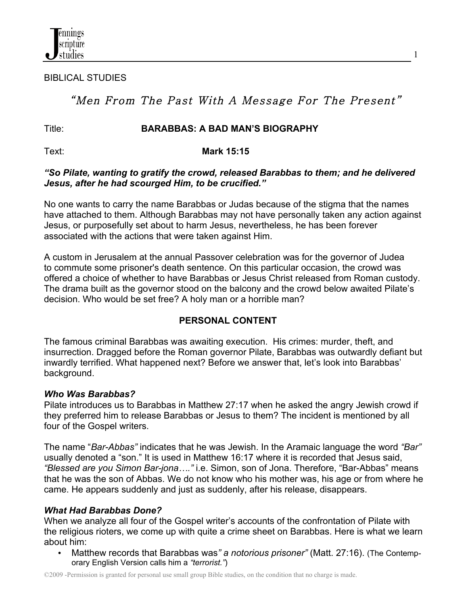BIBLICAL STUDIES

# "Men From The Past With A Message For The Present"

#### Title: **BARABBAS: A BAD MAN'S BIOGRAPHY**

#### Text: **Mark 15:15**

#### *"So Pilate, wanting to gratify the crowd, released Barabbas to them; and he delivered Jesus, after he had scourged Him, to be crucified."*

No one wants to carry the name Barabbas or Judas because of the stigma that the names have attached to them. Although Barabbas may not have personally taken any action against Jesus, or purposefully set about to harm Jesus, nevertheless, he has been forever associated with the actions that were taken against Him.

A custom in Jerusalem at the annual Passover celebration was for the governor of Judea to commute some prisoner's death sentence. On this particular occasion, the crowd was offered a choice of whether to have Barabbas or Jesus Christ released from Roman custody. The drama built as the governor stood on the balcony and the crowd below awaited Pilate's decision. Who would be set free? A holy man or a horrible man?

## **PERSONAL CONTENT**

The famous criminal Barabbas was awaiting execution. His crimes: murder, theft, and insurrection. Dragged before the Roman governor Pilate, Barabbas was outwardly defiant but inwardly terrified. What happened next? Before we answer that, let's look into Barabbas' background.

#### *Who Was Barabbas?*

Pilate introduces us to Barabbas in Matthew 27:17 when he asked the angry Jewish crowd if they preferred him to release Barabbas or Jesus to them? The incident is mentioned by all four of the Gospel writers.

The name "*Bar-Abbas"* indicates that he was Jewish. In the Aramaic language the word *"Bar"* usually denoted a "son." It is used in Matthew 16:17 where it is recorded that Jesus said, *"Blessed are you Simon Bar-jona…."* i.e. Simon, son of Jona. Therefore, "Bar-Abbas" means that he was the son of Abbas. We do not know who his mother was, his age or from where he came. He appears suddenly and just as suddenly, after his release, disappears.

## *What Had Barabbas Done?*

When we analyze all four of the Gospel writer's accounts of the confrontation of Pilate with the religious rioters, we come up with quite a crime sheet on Barabbas. Here is what we learn about him:

• Matthew records that Barabbas was*" a notorious prisoner"* (Matt. 27:16). (The Contemporary English Version calls him a *"terrorist."*)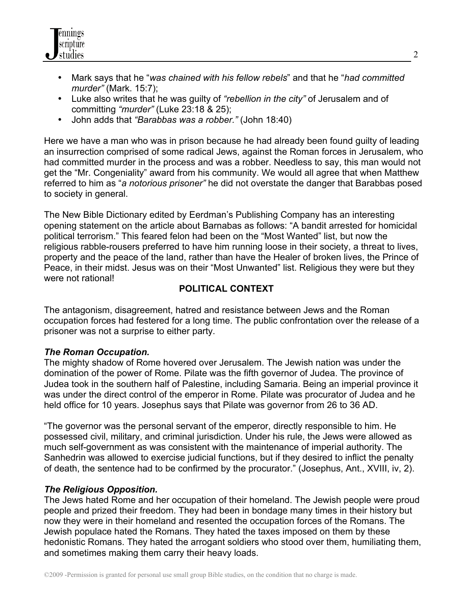

- Mark says that he "*was chained with his fellow rebels*" and that he "*had committed murder"* (Mark. 15:7);
- Luke also writes that he was guilty of *"rebellion in the city"* of Jerusalem and of committing *"murder"* (Luke 23:18 & 25);
- John adds that *"Barabbas was a robber."* (John 18:40)

Here we have a man who was in prison because he had already been found guilty of leading an insurrection comprised of some radical Jews, against the Roman forces in Jerusalem, who had committed murder in the process and was a robber. Needless to say, this man would not get the "Mr. Congeniality" award from his community. We would all agree that when Matthew referred to him as "*a notorious prisoner"* he did not overstate the danger that Barabbas posed to society in general.

The New Bible Dictionary edited by Eerdman's Publishing Company has an interesting opening statement on the article about Barnabas as follows: "A bandit arrested for homicidal political terrorism." This feared felon had been on the "Most Wanted" list, but now the religious rabble-rousers preferred to have him running loose in their society, a threat to lives, property and the peace of the land, rather than have the Healer of broken lives, the Prince of Peace, in their midst. Jesus was on their "Most Unwanted" list. Religious they were but they were not rational!

## **POLITICAL CONTEXT**

The antagonism, disagreement, hatred and resistance between Jews and the Roman occupation forces had festered for a long time. The public confrontation over the release of a prisoner was not a surprise to either party.

## *The Roman Occupation.*

The mighty shadow of Rome hovered over Jerusalem. The Jewish nation was under the domination of the power of Rome. Pilate was the fifth governor of Judea. The province of Judea took in the southern half of Palestine, including Samaria. Being an imperial province it was under the direct control of the emperor in Rome. Pilate was procurator of Judea and he held office for 10 years. Josephus says that Pilate was governor from 26 to 36 AD.

"The governor was the personal servant of the emperor, directly responsible to him. He possessed civil, military, and criminal jurisdiction. Under his rule, the Jews were allowed as much self-government as was consistent with the maintenance of imperial authority. The Sanhedrin was allowed to exercise judicial functions, but if they desired to inflict the penalty of death, the sentence had to be confirmed by the procurator." (Josephus, Ant., XVIII, iv, 2).

## *The Religious Opposition.*

The Jews hated Rome and her occupation of their homeland. The Jewish people were proud people and prized their freedom. They had been in bondage many times in their history but now they were in their homeland and resented the occupation forces of the Romans. The Jewish populace hated the Romans. They hated the taxes imposed on them by these hedonistic Romans. They hated the arrogant soldiers who stood over them, humiliating them, and sometimes making them carry their heavy loads.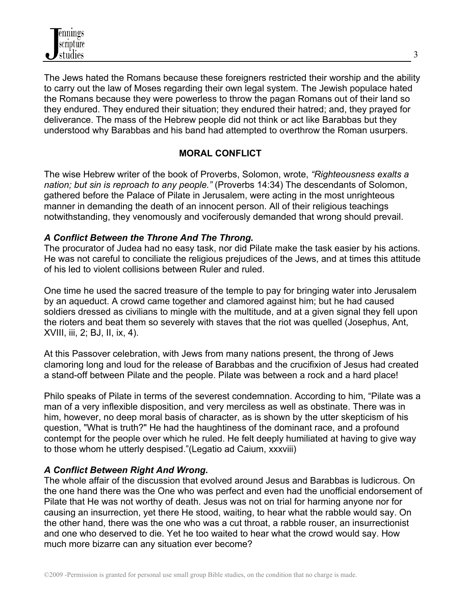The Jews hated the Romans because these foreigners restricted their worship and the ability to carry out the law of Moses regarding their own legal system. The Jewish populace hated the Romans because they were powerless to throw the pagan Romans out of their land so they endured. They endured their situation; they endured their hatred; and, they prayed for deliverance. The mass of the Hebrew people did not think or act like Barabbas but they understood why Barabbas and his band had attempted to overthrow the Roman usurpers.

## **MORAL CONFLICT**

The wise Hebrew writer of the book of Proverbs, Solomon, wrote, *"Righteousness exalts a nation; but sin is reproach to any people."* (Proverbs 14:34) The descendants of Solomon, gathered before the Palace of Pilate in Jerusalem, were acting in the most unrighteous manner in demanding the death of an innocent person. All of their religious teachings notwithstanding, they venomously and vociferously demanded that wrong should prevail.

## *A Conflict Between the Throne And The Throng.*

The procurator of Judea had no easy task, nor did Pilate make the task easier by his actions. He was not careful to conciliate the religious prejudices of the Jews, and at times this attitude of his led to violent collisions between Ruler and ruled.

One time he used the sacred treasure of the temple to pay for bringing water into Jerusalem by an aqueduct. A crowd came together and clamored against him; but he had caused soldiers dressed as civilians to mingle with the multitude, and at a given signal they fell upon the rioters and beat them so severely with staves that the riot was quelled (Josephus, Ant, XVIII, iii, 2; BJ, II, ix, 4).

At this Passover celebration, with Jews from many nations present, the throng of Jews clamoring long and loud for the release of Barabbas and the crucifixion of Jesus had created a stand-off between Pilate and the people. Pilate was between a rock and a hard place!

Philo speaks of Pilate in terms of the severest condemnation. According to him, "Pilate was a man of a very inflexible disposition, and very merciless as well as obstinate. There was in him, however, no deep moral basis of character, as is shown by the utter skepticism of his question, "What is truth?" He had the haughtiness of the dominant race, and a profound contempt for the people over which he ruled. He felt deeply humiliated at having to give way to those whom he utterly despised."(Legatio ad Caium, xxxviii)

# *A Conflict Between Right And Wrong.*

The whole affair of the discussion that evolved around Jesus and Barabbas is ludicrous. On the one hand there was the One who was perfect and even had the unofficial endorsement of Pilate that He was not worthy of death. Jesus was not on trial for harming anyone nor for causing an insurrection, yet there He stood, waiting, to hear what the rabble would say. On the other hand, there was the one who was a cut throat, a rabble rouser, an insurrectionist and one who deserved to die. Yet he too waited to hear what the crowd would say. How much more bizarre can any situation ever become?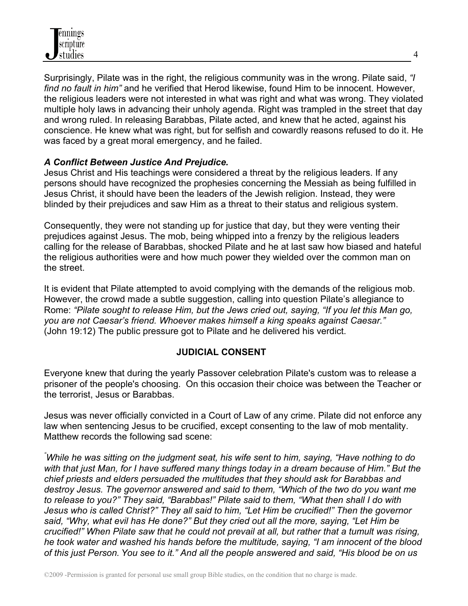Surprisingly, Pilate was in the right, the religious community was in the wrong. Pilate said, *"I find no fault in him"* and he verified that Herod likewise, found Him to be innocent. However, the religious leaders were not interested in what was right and what was wrong. They violated multiple holy laws in advancing their unholy agenda. Right was trampled in the street that day and wrong ruled. In releasing Barabbas, Pilate acted, and knew that he acted, against his conscience. He knew what was right, but for selfish and cowardly reasons refused to do it. He was faced by a great moral emergency, and he failed.

#### *A Conflict Between Justice And Prejudice.*

Jesus Christ and His teachings were considered a threat by the religious leaders. If any persons should have recognized the prophesies concerning the Messiah as being fulfilled in Jesus Christ, it should have been the leaders of the Jewish religion. Instead, they were blinded by their prejudices and saw Him as a threat to their status and religious system.

Consequently, they were not standing up for justice that day, but they were venting their prejudices against Jesus. The mob, being whipped into a frenzy by the religious leaders calling for the release of Barabbas, shocked Pilate and he at last saw how biased and hateful the religious authorities were and how much power they wielded over the common man on the street.

It is evident that Pilate attempted to avoid complying with the demands of the religious mob. However, the crowd made a subtle suggestion, calling into question Pilate's allegiance to Rome: *"Pilate sought to release Him, but the Jews cried out, saying, "If you let this Man go, you are not Caesar's friend. Whoever makes himself a king speaks against Caesar."* (John 19:12) The public pressure got to Pilate and he delivered his verdict.

## **JUDICIAL CONSENT**

Everyone knew that during the yearly Passover celebration Pilate's custom was to release a prisoner of the people's choosing. On this occasion their choice was between the Teacher or the terrorist, Jesus or Barabbas.

Jesus was never officially convicted in a Court of Law of any crime. Pilate did not enforce any law when sentencing Jesus to be crucified, except consenting to the law of mob mentality. Matthew records the following sad scene:

*" While he was sitting on the judgment seat, his wife sent to him, saying, "Have nothing to do with that just Man, for I have suffered many things today in a dream because of Him." But the chief priests and elders persuaded the multitudes that they should ask for Barabbas and destroy Jesus. The governor answered and said to them, "Which of the two do you want me to release to you?" They said, "Barabbas!" Pilate said to them, "What then shall I do with Jesus who is called Christ?" They all said to him, "Let Him be crucified!" Then the governor said, "Why, what evil has He done?" But they cried out all the more, saying, "Let Him be crucified!" When Pilate saw that he could not prevail at all, but rather that a tumult was rising, he took water and washed his hands before the multitude, saying, "I am innocent of the blood of this just Person. You see to it." And all the people answered and said, "His blood be on us*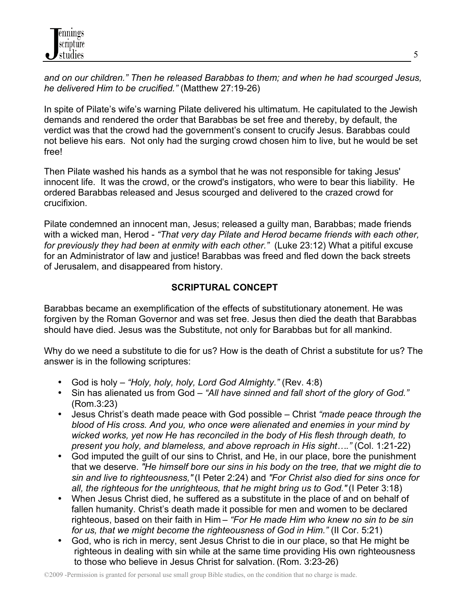*and on our children." Then he released Barabbas to them; and when he had scourged Jesus, he delivered Him to be crucified."* (Matthew 27:19-26)

In spite of Pilate's wife's warning Pilate delivered his ultimatum. He capitulated to the Jewish demands and rendered the order that Barabbas be set free and thereby, by default, the verdict was that the crowd had the government's consent to crucify Jesus. Barabbas could not believe his ears. Not only had the surging crowd chosen him to live, but he would be set free!

Then Pilate washed his hands as a symbol that he was not responsible for taking Jesus' innocent life. It was the crowd, or the crowd's instigators, who were to bear this liability. He ordered Barabbas released and Jesus scourged and delivered to the crazed crowd for crucifixion.

Pilate condemned an innocent man, Jesus; released a guilty man, Barabbas; made friends with a wicked man, Herod - *"That very day Pilate and Herod became friends with each other, for previously they had been at enmity with each other."* (Luke 23:12) What a pitiful excuse for an Administrator of law and justice! Barabbas was freed and fled down the back streets of Jerusalem, and disappeared from history.

## **SCRIPTURAL CONCEPT**

Barabbas became an exemplification of the effects of substitutionary atonement. He was forgiven by the Roman Governor and was set free. Jesus then died the death that Barabbas should have died. Jesus was the Substitute, not only for Barabbas but for all mankind.

Why do we need a substitute to die for us? How is the death of Christ a substitute for us? The answer is in the following scriptures:

- God is holy *"Holy, holy, holy, Lord God Almighty."* (Rev. 4:8)
- Sin has alienated us from God *"All have sinned and fall short of the glory of God."* (Rom.3:23)
- Jesus Christ's death made peace with God possible Christ *"made peace through the blood of His cross. And you, who once were alienated and enemies in your mind by wicked works, yet now He has reconciled in the body of His flesh through death, to present you holy, and blameless, and above reproach in His sight…."* (Col. 1:21-22)
- God imputed the guilt of our sins to Christ, and He, in our place, bore the punishment that we deserve. *"He himself bore our sins in his body on the tree, that we might die to sin and live to righteousness,"* (I Peter 2:24) and *"For Christ also died for sins once for all, the righteous for the unrighteous, that he might bring us to God."* (I Peter 3:18)
- When Jesus Christ died, he suffered as a substitute in the place of and on behalf of fallen humanity. Christ's death made it possible for men and women to be declared righteous, based on their faith in Him – *"For He made Him who knew no sin to be sin for us, that we might become the righteousness of God in Him."* (II Cor. 5:21)
- God, who is rich in mercy, sent Jesus Christ to die in our place, so that He might be righteous in dealing with sin while at the same time providing His own righteousness to those who believe in Jesus Christ for salvation. (Rom. 3:23-26)